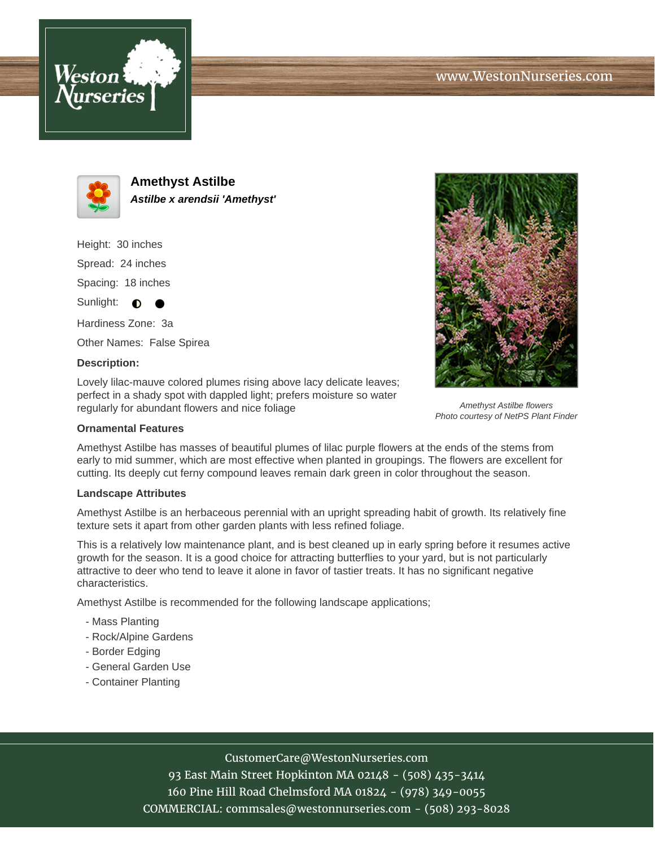



**Amethyst Astilbe Astilbe x arendsii 'Amethyst'**

Height: 30 inches Spread: 24 inches Spacing: 18 inches Sunlight:  $\bullet$ Hardiness Zone: 3a

Other Names: False Spirea

## **Description:**

Lovely lilac-mauve colored plumes rising above lacy delicate leaves; perfect in a shady spot with dappled light; prefers moisture so water regularly for abundant flowers and nice foliage

## **Ornamental Features**

Amethyst Astilbe has masses of beautiful plumes of lilac purple flowers at the ends of the stems from early to mid summer, which are most effective when planted in groupings. The flowers are excellent for cutting. Its deeply cut ferny compound leaves remain dark green in color throughout the season.

## **Landscape Attributes**

Amethyst Astilbe is an herbaceous perennial with an upright spreading habit of growth. Its relatively fine texture sets it apart from other garden plants with less refined foliage.

This is a relatively low maintenance plant, and is best cleaned up in early spring before it resumes active growth for the season. It is a good choice for attracting butterflies to your yard, but is not particularly attractive to deer who tend to leave it alone in favor of tastier treats. It has no significant negative characteristics.

Amethyst Astilbe is recommended for the following landscape applications;

- Mass Planting
- Rock/Alpine Gardens
- Border Edging
- General Garden Use
- Container Planting



93 East Main Street Hopkinton MA 02148 - (508) 435-3414 160 Pine Hill Road Chelmsford MA 01824 - (978) 349-0055 COMMERCIAL: commsales@westonnurseries.com - (508) 293-8028



Amethyst Astilbe flowers Photo courtesy of NetPS Plant Finder